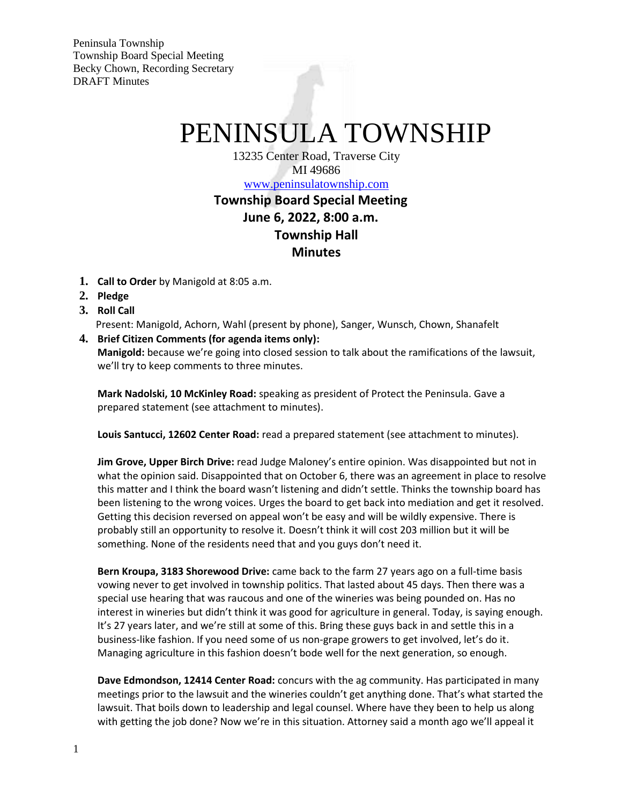Peninsula Township Township Board Special Meeting Becky Chown, Recording Secretary DRAFT Minutes

## PENINSULA TOWNSHIP

13235 Center Road, Traverse City MI 49686 [www.peninsulatownship.com](http://www.peninsulatownship.com/)

## **Township Board Special Meeting June 6, 2022, 8:00 a.m. Township Hall Minutes**

- **1. Call to Order** by Manigold at 8:05 a.m.
- **2. Pledge**
- **3. Roll Call**

Present: Manigold, Achorn, Wahl (present by phone), Sanger, Wunsch, Chown, Shanafelt

**4. Brief Citizen Comments (for agenda items only): Manigold:** because we're going into closed session to talk about the ramifications of the lawsuit, we'll try to keep comments to three minutes.

**Mark Nadolski, 10 McKinley Road:** speaking as president of Protect the Peninsula. Gave a prepared statement (see attachment to minutes).

**Louis Santucci, 12602 Center Road:** read a prepared statement (see attachment to minutes).

**Jim Grove, Upper Birch Drive:** read Judge Maloney's entire opinion. Was disappointed but not in what the opinion said. Disappointed that on October 6, there was an agreement in place to resolve this matter and I think the board wasn't listening and didn't settle. Thinks the township board has been listening to the wrong voices. Urges the board to get back into mediation and get it resolved. Getting this decision reversed on appeal won't be easy and will be wildly expensive. There is probably still an opportunity to resolve it. Doesn't think it will cost 203 million but it will be something. None of the residents need that and you guys don't need it.

**Bern Kroupa, 3183 Shorewood Drive:** came back to the farm 27 years ago on a full-time basis vowing never to get involved in township politics. That lasted about 45 days. Then there was a special use hearing that was raucous and one of the wineries was being pounded on. Has no interest in wineries but didn't think it was good for agriculture in general. Today, is saying enough. It's 27 years later, and we're still at some of this. Bring these guys back in and settle this in a business-like fashion. If you need some of us non-grape growers to get involved, let's do it. Managing agriculture in this fashion doesn't bode well for the next generation, so enough.

**Dave Edmondson, 12414 Center Road:** concurs with the ag community. Has participated in many meetings prior to the lawsuit and the wineries couldn't get anything done. That's what started the lawsuit. That boils down to leadership and legal counsel. Where have they been to help us along with getting the job done? Now we're in this situation. Attorney said a month ago we'll appeal it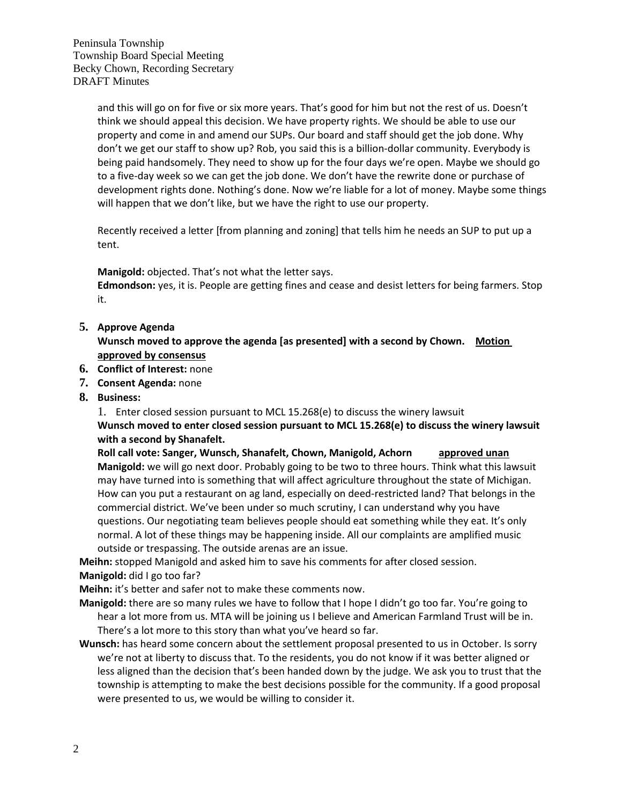Peninsula Township Township Board Special Meeting Becky Chown, Recording Secretary DRAFT Minutes

> and this will go on for five or six more years. That's good for him but not the rest of us. Doesn't think we should appeal this decision. We have property rights. We should be able to use our property and come in and amend our SUPs. Our board and staff should get the job done. Why don't we get our staff to show up? Rob, you said this is a billion-dollar community. Everybody is being paid handsomely. They need to show up for the four days we're open. Maybe we should go to a five-day week so we can get the job done. We don't have the rewrite done or purchase of development rights done. Nothing's done. Now we're liable for a lot of money. Maybe some things will happen that we don't like, but we have the right to use our property.

Recently received a letter [from planning and zoning] that tells him he needs an SUP to put up a tent.

**Manigold:** objected. That's not what the letter says.

**Edmondson:** yes, it is. People are getting fines and cease and desist letters for being farmers. Stop it.

**5. Approve Agenda**

**Wunsch moved to approve the agenda [as presented] with a second by Chown. Motion approved by consensus**

- **6. Conflict of Interest:** none
- **7. Consent Agenda:** none
- **8. Business:**

1. Enter closed session pursuant to MCL 15.268(e) to discuss the winery lawsuit **Wunsch moved to enter closed session pursuant to MCL 15.268(e) to discuss the winery lawsuit with a second by Shanafelt.**

**Roll call vote: Sanger, Wunsch, Shanafelt, Chown, Manigold, Achorn approved unan Manigold:** we will go next door. Probably going to be two to three hours. Think what this lawsuit may have turned into is something that will affect agriculture throughout the state of Michigan. How can you put a restaurant on ag land, especially on deed-restricted land? That belongs in the commercial district. We've been under so much scrutiny, I can understand why you have questions. Our negotiating team believes people should eat something while they eat. It's only normal. A lot of these things may be happening inside. All our complaints are amplified music outside or trespassing. The outside arenas are an issue.

**Meihn:** stopped Manigold and asked him to save his comments for after closed session.

**Manigold:** did I go too far?

**Meihn:** it's better and safer not to make these comments now.

**Manigold:** there are so many rules we have to follow that I hope I didn't go too far. You're going to hear a lot more from us. MTA will be joining us I believe and American Farmland Trust will be in. There's a lot more to this story than what you've heard so far.

**Wunsch:** has heard some concern about the settlement proposal presented to us in October. Is sorry we're not at liberty to discuss that. To the residents, you do not know if it was better aligned or less aligned than the decision that's been handed down by the judge. We ask you to trust that the township is attempting to make the best decisions possible for the community. If a good proposal were presented to us, we would be willing to consider it.